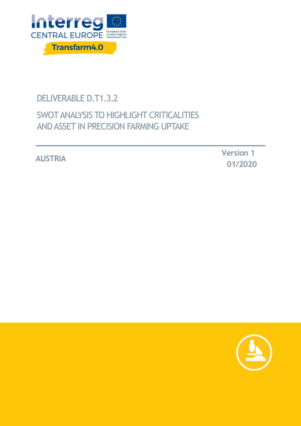

# DELIVERABLE D.T1.3.2

# SWOT ANALYSIS TO HIGHLIGHT CRITICALITIES AND ASSET IN PRECISION FARMING UPTAKE

**AUSTRIA Version <sup>1</sup> 01/2020**

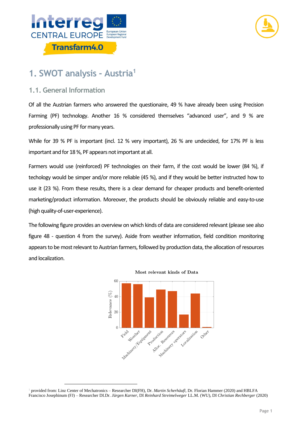



## **1. SWOT analysis - Austria<sup>1</sup>**

### **1.1. General Information**

 $\overline{a}$ 

Of all the Austrian farmers who answered the questionaire, 49 % have already been using Precision Farming (PF) technology. Another 16 % considered themselves "advanced user", and 9 % are professionally using PF for many years.

While for 39 % PF is important (incl. 12 % very important), 26 % are undecided, for 17% PF is less important and for 18 %, PF appears not important at all.

Farmers would use (reinforced) PF technologies on their farm, if the cost would be lower (84 %), if techology would be simper and/or more reliable (45 %), and if they would be better instructed how to use it (23 %). From these results, there is a clear demand for cheaper products and benefit-oriented marketing/product information. Moreover, the products should be obviously reliable and easy-to-use (high quality-of-user-experience).

The following figure provides an overview on which kinds of data are considered relevant (please see also figure 48 - question 4 from the survey). Aside from weather information, field condition monitoring appears to be most relevant to Austrian farmers, followed by production data, the allocation of resources and localization.





<sup>1</sup> provided from: Linz Center of Mechatronics – Researcher DI(FH), Dr. *Martin Scherhäufl*, Dr. Florian Hammer (2020) and HBLFA Francisco Josephinum (FJ) – Researcher DI.Dr. *Jürgen Karner,* DI *Reinhard Streimelweger* LL.M. (WU), DI *Christian Rechberger* (2020)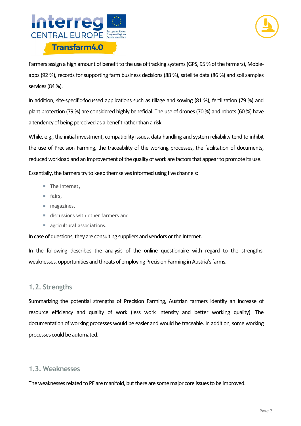



Farmers assign a high amount of benefit to the use of tracking systems (GPS, 95 % of the farmers), Mobieapps (92 %), records for supporting farm business decisions (88 %), satellite data (86 %) and soil samples services (84 %).

In addition, site-specific-focussed applications such as tillage and sowing (81 %), fertilization (79 %) and plant protection (79 %) are considered highly beneficial. The use of drones (70 %) and robots (60 %) have a tendency of being perceived as a benefit rather than a risk.

While, e.g., the initial investment, compatibility issues, data handling and system reliability tend to inhibit the use of Precision Farming, the traceability of the working processes, the facilitation of documents, reduced workload and an improvement of the quality of work are factors that appear to promote its use.

Essentially, the farmers try to keep themselves informed using five channels:

- The Internet,
- fairs,
- magazines,
- discussions with other farmers and
- **agricultural associations.**

In case of questions, they are consulting suppliers and vendors or the Internet.

In the following describes the analysis of the online questionaire with regard to the strengths, weaknesses, opportunities and threats of employing Precision Farming in Austria's farms.

#### **1.2. Strengths**

Summarizing the potential strengths of Precision Farming, Austrian farmers identify an increase of resource efficiency and quality of work (less work intensity and better working quality). The documentation of working processes would be easier and would be traceable. In addition, some working processes could be automated.

#### **1.3. Weaknesses**

The weaknesses related to PF are manifold, but there are some major core issues to be improved.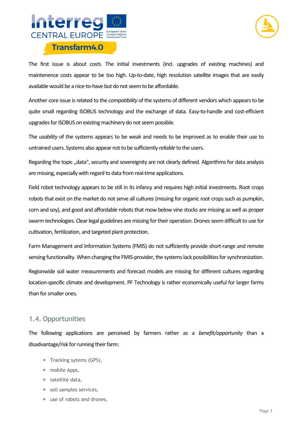



The first issue is about *costs*. The initial investments (incl. upgrades of existing machines) and maintenence costs appear to be too high. Up-to-date, high resolution satellite images that are easily available would be a nice-to-have but do not seem to be affordable.

Another core issue is related to the *compatibility* of the systems of different vendors which appears to be quite small regarding ISOBUS technology and the exchange of data. Easy-to-handle and cost-efficient upgrades for ISOBUS on existing machinery do not seem possible.

The *usability* of the systems appears to be weak and needs to be improved as to enable their use to untrained users. Systems also appear not to be sufficiently *reliable* to the users.

Regarding the topic "data", security and sovereignity are not clearly defined. Algorithms for data analysis are missing, especially with regard to data from real-time applications.

Field robot technology appears to be still in its infancy and requires high initial investments. Root crops robots that exist on the market do not serve all cultures (missing for organic root crops such as pumpkin, corn and soy), and good and affordable robots that mow below vine stocks are missing as well as proper swarm technologies. Clear legal guidelines are missing for their operation. Drones seem difficult to use for cultivation, fertilization, and targeted plant protection.

Farm Management and Information Systems (FMIS) do not sufficiently provide short-range and remote sensing functionality. When changing the FMIS-provider, the systems lack possibilities for synchronization.

Regionwide soil water measurements and forecast models are missing for different cultures regarding location-specific climate and development. PF Technology is rather economically useful for larger farms than for smaller ones.

### **1.4. Opportunities**

The following applications are perceived by farmers rather as a *benefit/opportunity* than a disadvantage/risk for running their farm:

- Tracking sytems (GPS),
- mobile Apps,
- $\blacksquare$  satellite data,
- soil samples services,
- use of robots and drones,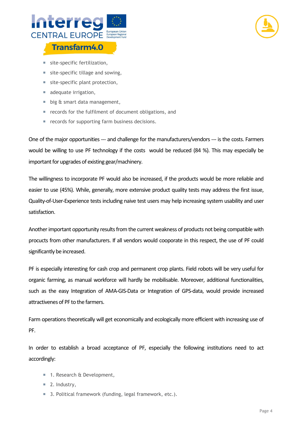



- site-specific fertilization,
- site-specific tillage and sowing,
- site-specific plant protection,
- adequate irrigation,
- big & smart data management,
- **Pecords for the fulfilment of document obligations, and**
- records for supporting farm business decisions.

One of the major opportunities --- and challenge for the manufacturers/vendors --- is the costs. Farmers would be willing to use PF technology if the costs would be reduced (84 %). This may especially be important for upgrades of existing gear/machinery.

The willingness to incorporate PF would also be increased, if the products would be more reliable and easier to use (45%). While, generally, more extensive product quality tests may address the first issue, Quality-of-User-Experience tests including naive test users may help increasing system usability and user satisfaction.

Another important opportunity results from the current weakness of products not being compatible with procucts from other manufacturers. If all vendors would cooporate in this respect, the use of PF could significantly be increased.

PF is especially interesting for cash crop and permanent crop plants. Field robots will be very useful for organic farming, as manual workforce will hardly be mobilisable. Moreover, additional functionalities, such as the easy Integration of AMA-GIS-Data or Integration of GPS-data, would provide increased attractivenes of PF to the farmers.

Farm operations theoretically will get economically and ecologically more efficient with increasing use of PF.

In order to establish a broad acceptance of PF, especially the following institutions need to act accordingly:

- 1. Research & Development,
- $\blacksquare$  2. Industry,
- 3. Political framework (funding, legal framework, etc.).